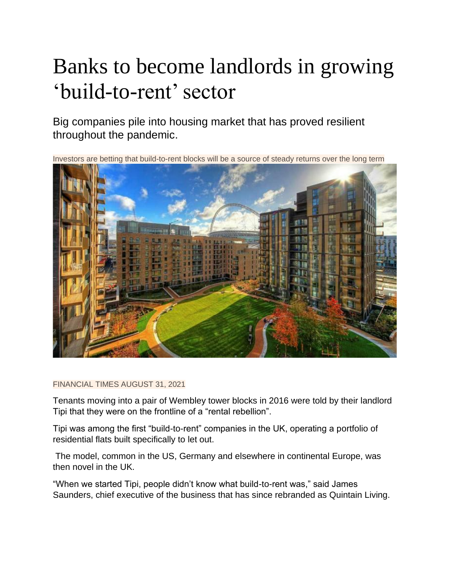## Banks to become landlords in growing 'build-to-rent' sector

Big companies pile into housing market that has proved resilient throughout the pandemic.

Investors are betting that build-to-rent blocks will be a source of steady returns over the long term



## FINANCIAL TIMES AUGUST 31, 2021

Tenants moving into a pair of Wembley tower blocks in 2016 were told by their landlord Tipi that they were on the frontline of a "rental rebellion".

Tipi was among the first "build-to-rent" companies in the UK, operating a portfolio of residential flats built specifically to let out.

The model, common in the US, Germany and elsewhere in continental Europe, was then novel in the UK.

"When we started Tipi, people didn't know what build-to-rent was," said James Saunders, chief executive of the business that has since rebranded as Quintain Living.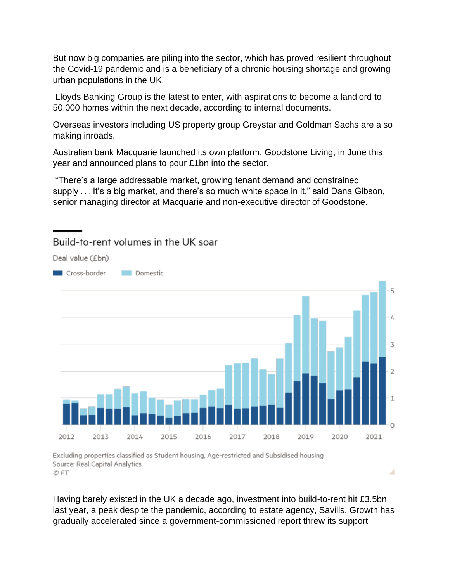But now big companies are piling into the sector, which has proved resilient throughout the Covid-19 pandemic and is a beneficiary of a chronic housing shortage and growing urban populations in the UK.

Lloyds Banking Group is the latest to enter, with aspirations to become a landlord to 50,000 homes within the next decade, according to internal documents.

Overseas investors including US property group Greystar and Goldman Sachs are also making inroads.

Australian bank Macquarie launched its own platform, Goodstone Living, in June this year and announced plans to pour £1bn into the sector.

"There's a large addressable market, growing tenant demand and constrained supply  $\dots$  It's a big market, and there's so much white space in it," said Dana Gibson, senior managing director at Macquarie and non-executive director of Goodstone.



## Build-to-rent volumes in the UK soar

Deal value (£bn)

Excluding properties classified as Student housing, Age-restricted and Subsidised housing Source: Real Capital Analytics © FT

Having barely existed in the UK a decade ago, investment into build-to-rent hit £3.5bn last year, a peak despite the pandemic, according to estate agency, Savills. Growth has gradually accelerated since a government-commissioned report threw its support

A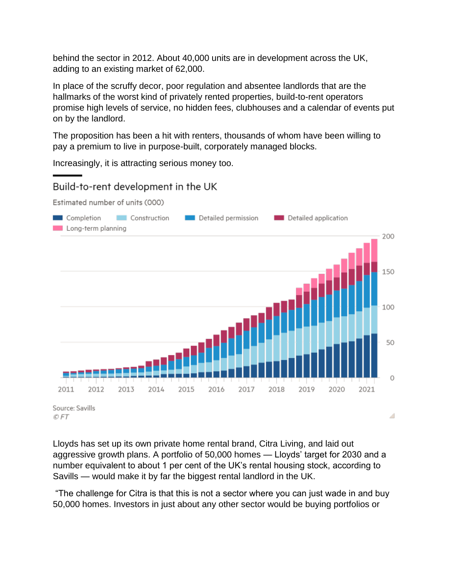behind the sector in 2012. About 40,000 units are in development across the UK, adding to an existing market of 62,000.

In place of the scruffy decor, poor regulation and absentee landlords that are the hallmarks of the worst kind of privately rented properties, build-to-rent operators promise high levels of service, no hidden fees, clubhouses and a calendar of events put on by the landlord.

The proposition has been a hit with renters, thousands of whom have been willing to pay a premium to live in purpose-built, corporately managed blocks.

Increasingly, it is attracting serious money too.

## Build-to-rent development in the UK

Estimated number of units (000)



Lloyds has set up its own private home rental brand, Citra Living, and laid out aggressive growth plans. A portfolio of 50,000 homes — Lloyds' target for 2030 and a number equivalent to about 1 per cent of the UK's rental housing stock, according to Savills — would make it by far the biggest rental landlord in the UK.

"The challenge for Citra is that this is not a sector where you can just wade in and buy 50,000 homes. Investors in just about any other sector would be buying portfolios or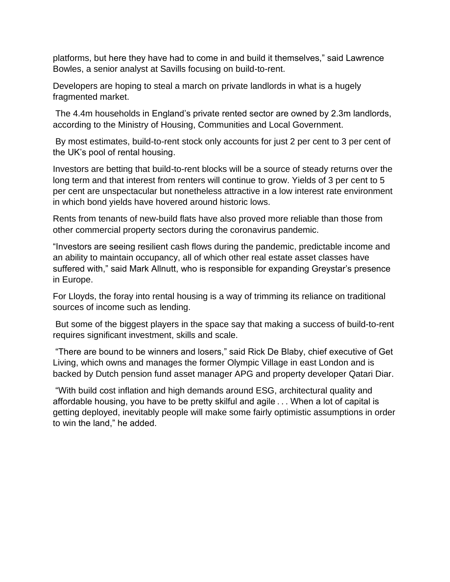platforms, but here they have had to come in and build it themselves," said Lawrence Bowles, a senior analyst at Savills focusing on build-to-rent.

Developers are hoping to steal a march on private landlords in what is a hugely fragmented market.

The 4.4m households in England's private rented sector are owned by 2.3m landlords, according to the Ministry of Housing, Communities and Local Government.

By most estimates, build-to-rent stock only accounts for just 2 per cent to 3 per cent of the UK's pool of rental housing.

Investors are betting that build-to-rent blocks will be a source of steady returns over the long term and that interest from renters will continue to grow. Yields of 3 per cent to 5 per cent are unspectacular but nonetheless attractive in a low interest rate environment in which bond yields have hovered around historic lows.

Rents from tenants of new-build flats have also proved more reliable than those from other commercial property sectors during the coronavirus pandemic.

"Investors are seeing resilient cash flows during the pandemic, predictable income and an ability to maintain occupancy, all of which other real estate asset classes have suffered with," said Mark Allnutt, who is responsible for expanding Greystar's presence in Europe.

For Lloyds, the foray into rental housing is a way of trimming its reliance on traditional sources of income such as lending.

But some of the biggest players in the space say that making a success of build-to-rent requires significant investment, skills and scale.

"There are bound to be winners and losers," said Rick De Blaby, chief executive of Get Living, which owns and manages the former Olympic Village in east London and is backed by Dutch pension fund asset manager APG and property developer Qatari Diar.

"With build cost inflation and high demands around ESG, architectural quality and affordable housing, you have to be pretty skilful and agile . . . When a lot of capital is getting deployed, inevitably people will make some fairly optimistic assumptions in order to win the land," he added.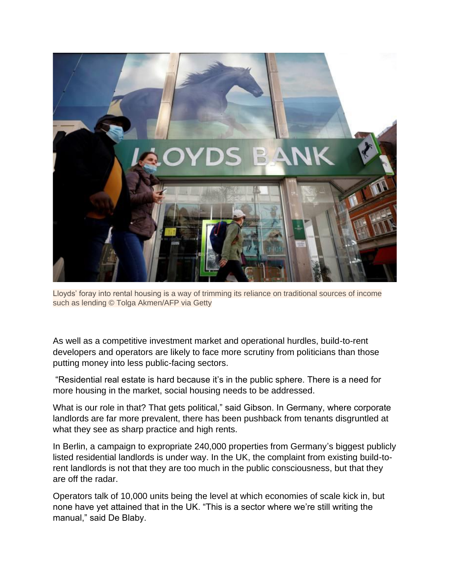

Lloyds' foray into rental housing is a way of trimming its reliance on traditional sources of income such as lending © Tolga Akmen/AFP via Getty

As well as a competitive investment market and operational hurdles, build-to-rent developers and operators are likely to face more scrutiny from politicians than those putting money into less public-facing sectors.

"Residential real estate is hard because it's in the public sphere. There is a need for more housing in the market, social housing needs to be addressed.

What is our role in that? That gets political," said Gibson. In Germany, where corporate landlords are far more prevalent, there has been pushback from tenants disgruntled at what they see as sharp practice and high rents.

In Berlin, a campaign to expropriate 240,000 properties from Germany's biggest publicly listed residential landlords is under way. In the UK, the complaint from existing build-torent landlords is not that they are too much in the public consciousness, but that they are off the radar.

Operators talk of 10,000 units being the level at which economies of scale kick in, but none have yet attained that in the UK. "This is a sector where we're still writing the manual," said De Blaby.